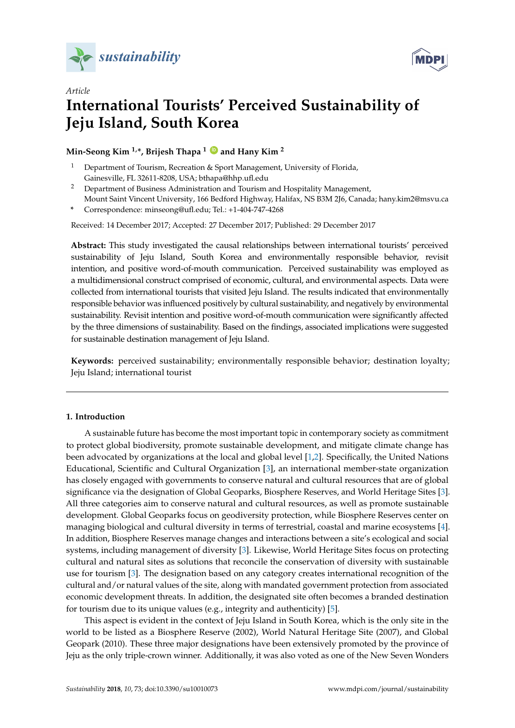

*Article*



# **International Tourists' Perceived Sustainability of Jeju Island, South Korea**

**Min-Seong Kim 1,\*, Brijesh Thapa <sup>1</sup> [ID](https://orcid.org/0000-0002-0163-5580) and Hany Kim <sup>2</sup>**

- Department of Tourism, Recreation & Sport Management, University of Florida, Gainesville, FL 32611-8208, USA; bthapa@hhp.ufl.edu
- <sup>2</sup> Department of Business Administration and Tourism and Hospitality Management, Mount Saint Vincent University, 166 Bedford Highway, Halifax, NS B3M 2J6, Canada; hany.kim2@msvu.ca
- **\*** Correspondence: minseong@ufl.edu; Tel.: +1-404-747-4268

Received: 14 December 2017; Accepted: 27 December 2017; Published: 29 December 2017

**Abstract:** This study investigated the causal relationships between international tourists' perceived sustainability of Jeju Island, South Korea and environmentally responsible behavior, revisit intention, and positive word-of-mouth communication. Perceived sustainability was employed as a multidimensional construct comprised of economic, cultural, and environmental aspects. Data were collected from international tourists that visited Jeju Island. The results indicated that environmentally responsible behavior was influenced positively by cultural sustainability, and negatively by environmental sustainability. Revisit intention and positive word-of-mouth communication were significantly affected by the three dimensions of sustainability. Based on the findings, associated implications were suggested for sustainable destination management of Jeju Island.

**Keywords:** perceived sustainability; environmentally responsible behavior; destination loyalty; Jeju Island; international tourist

# <span id="page-0-0"></span>**1. Introduction**

A sustainable future has become the most important topic in contemporary society as commitment to protect global biodiversity, promote sustainable development, and mitigate climate change has been advocated by organizations at the local and global level [\[1](#page-9-0)[,2\]](#page-9-1). Specifically, the United Nations Educational, Scientific and Cultural Organization [\[3\]](#page-9-2), an international member-state organization has closely engaged with governments to conserve natural and cultural resources that are of global significance via the designation of Global Geoparks, Biosphere Reserves, and World Heritage Sites [\[3\]](#page-9-2). All three categories aim to conserve natural and cultural resources, as well as promote sustainable development. Global Geoparks focus on geodiversity protection, while Biosphere Reserves center on managing biological and cultural diversity in terms of terrestrial, coastal and marine ecosystems [\[4\]](#page-9-3). In addition, Biosphere Reserves manage changes and interactions between a site's ecological and social systems, including management of diversity [\[3\]](#page-9-2). Likewise, World Heritage Sites focus on protecting cultural and natural sites as solutions that reconcile the conservation of diversity with sustainable use for tourism [\[3\]](#page-9-2). The designation based on any category creates international recognition of the cultural and/or natural values of the site, along with mandated government protection from associated economic development threats. In addition, the designated site often becomes a branded destination for tourism due to its unique values (e.g., integrity and authenticity) [\[5\]](#page-9-4).

This aspect is evident in the context of Jeju Island in South Korea, which is the only site in the world to be listed as a Biosphere Reserve (2002), World Natural Heritage Site (2007), and Global Geopark (2010). These three major designations have been extensively promoted by the province of Jeju as the only triple-crown winner. Additionally, it was also voted as one of the New Seven Wonders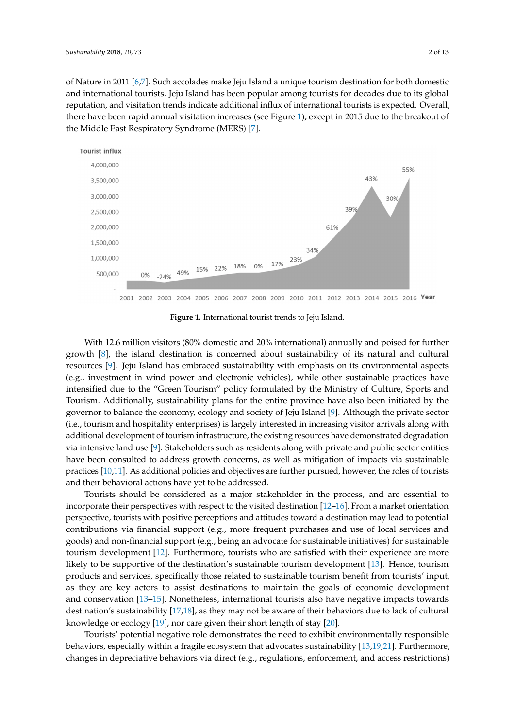of Nature in 2011 [\[6,](#page-9-5)[7\]](#page-9-6). Such accolades make Jeju Island a unique tourism destination for both domestic and international tourists. Jeju Island has been popular among tourists for decades due to its global reputation, and visitation trends indicate additional influx of international tourists is expected. Overall, there have been rapid annual visitatio[n i](#page-1-0)ncreases (see Figure 1), except in 2015 due to the breakout of the Middle East Respiratory Syndrome (MERS) [\[7\]](#page-9-6).

<span id="page-1-0"></span>

**Figure 1.** International tourist trends to Jeju Island. **Figure 1.** International tourist trends to Jeju Island.

With 12.6 million visitors (80% domestic and 20% international) annually and poised for further With 12.6 million visitors (80% domestic and 20% international) annually and poised for further growth [8], the island destination is concerned about sustainability of its natural and cultural growth [\[8\]](#page-9-7), the island destination is concerned about sustainability of its natural and cultural resources [9]. Jeju Island has embraced sustainability with emphasis on its environmental aspects resources [\[9\]](#page-9-8). Jeju Island has embraced sustainability with emphasis on its environmental aspects (e.g., investment in wind power and electronic vehicles), while other sustainable practices have (e.g., investment in wind power and electronic vehicles), while other sustainable practices have intensified due to the "Green Tourism" policy formulated by the Ministry of Culture, Sports and intensified due to the "Green Tourism" policy formulated by the Ministry of Culture, Sports and Tourism. Additionally, sustainability plans for the entire province have also been initiated by the Tourism. Additionally, sustainability plans for the entire province have also been initiated by the governor to balance the economy, ecology and society of Jeju Island [9]. Although the private sector governor to balance the economy, ecology and society of Jeju Island [\[9\]](#page-9-8). Although the private sector (i.e., tourism and hospitality enterprises) is largely interested in increasing visitor arrivals along with (i.e., tourism and hospitality enterprises) is largely interested in increasing visitor arrivals along with additional development of tourism infrastructure, the existing resources have demonstrated additional development of tourism infrastructure, the existing resources have demonstrated degradation via intensive land use [\[9\]](#page-9-8). Stakeholders such as residents along with private and public sector entities have been consulted to address growth concerns, as well as mitigation of impacts via sustainable practices [\[10,](#page-9-9)[11\]](#page-9-10). As additional policies and objectives are further pursued, however, the roles of tourists and their behavioral actions have yet to be addressed.

Tourists should be considered as a major stakeholder in the process, and are essential to Tourists should be considered as a major stakeholder in the process, and are essential to incorporate their perspectives with respect to the visited destination [\[12](#page-9-11)-16]. From a market orientation perspective, tourists with positive perceptions and attitudes toward a destination may lead to potential contributions via financial support (e.g., more frequent purchases and use of local services and goods) and non-financial support (e.g., being an advocate for sustainable initiatives) for sustainable tourism development [\[12\]](#page-9-11). Furthermore, tourists who are satisfied with their experience are more likely to be supportive of the destination's sustainable tourism development [\[13\]](#page-9-12). Hence, tourism products and services, specifically those related to sustainable tourism benefit from tourists' input, as they are key actors to assist destinations to maintain the goals of economic development and conservation [13–15]. Nonetheless, international tourists also have negative impacts towards and conservation [\[13](#page-9-12)[–15\]](#page-10-1). Nonetheless, international tourists also have negative impacts towards destination's sustainability [17,18], as they may not be aware of their behaviors due to lack of cultural destination's sustainability [\[17](#page-10-2)[,18\]](#page-10-3), as they may not be aware of their behaviors due to lack of cultural knowledge or ecology [19], nor care given their short length of stay [20]. knowledge or ecology [\[19\]](#page-10-4), nor care given their short length of stay [\[20\]](#page-10-5).

Tourists' potential negative role demonstrates the need to exhibit environmentally responsible Tourists' potential negative role demonstrates the need to exhibit environmentally responsible behaviors, especially within a fragile ecosystem that advocates sustainability [13,19,21]. Furthermore, behaviors, especially within a fragile ecosystem that advocates sustainability [\[13](#page-9-12)[,19](#page-10-4)[,21\]](#page-10-6). Furthermore, changes in depreciative behaviors via direct (e.g., regulations, enforcement, and access restrictions) changes in depreciative behaviors via direct (e.g., regulations, enforcement, and access restrictions)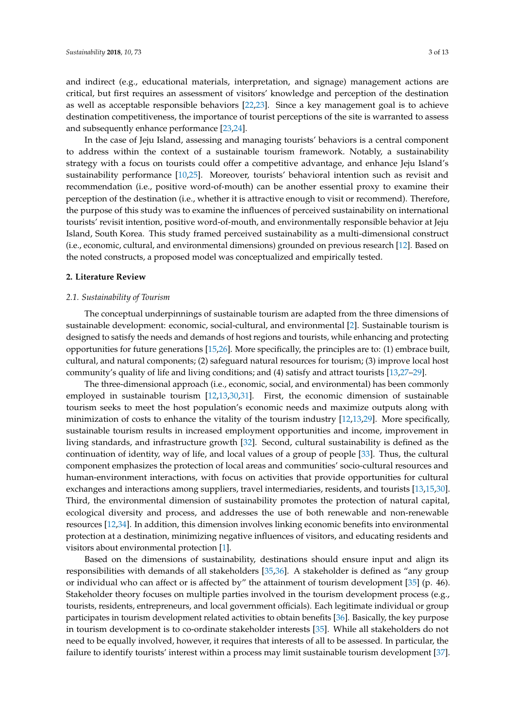and indirect (e.g., educational materials, interpretation, and signage) management actions are critical, but first requires an assessment of visitors' knowledge and perception of the destination as well as acceptable responsible behaviors [\[22](#page-10-7)[,23\]](#page-10-8). Since a key management goal is to achieve destination competitiveness, the importance of tourist perceptions of the site is warranted to assess and subsequently enhance performance [\[23,](#page-10-8)[24\]](#page-10-9).

In the case of Jeju Island, assessing and managing tourists' behaviors is a central component to address within the context of a sustainable tourism framework. Notably, a sustainability strategy with a focus on tourists could offer a competitive advantage, and enhance Jeju Island's sustainability performance [\[10,](#page-9-9)[25\]](#page-10-10). Moreover, tourists' behavioral intention such as revisit and recommendation (i.e., positive word-of-mouth) can be another essential proxy to examine their perception of the destination (i.e., whether it is attractive enough to visit or recommend). Therefore, the purpose of this study was to examine the influences of perceived sustainability on international tourists' revisit intention, positive word-of-mouth, and environmentally responsible behavior at Jeju Island, South Korea. This study framed perceived sustainability as a multi-dimensional construct (i.e., economic, cultural, and environmental dimensions) grounded on previous research [\[12\]](#page-9-11). Based on the noted constructs, a proposed model was conceptualized and empirically tested.

#### **2. Literature Review**

#### <span id="page-2-0"></span>*2.1. Sustainability of Tourism*

The conceptual underpinnings of sustainable tourism are adapted from the three dimensions of sustainable development: economic, social-cultural, and environmental [\[2\]](#page-9-1). Sustainable tourism is designed to satisfy the needs and demands of host regions and tourists, while enhancing and protecting opportunities for future generations [\[15,](#page-10-1)[26\]](#page-10-11). More specifically, the principles are to: (1) embrace built, cultural, and natural components; (2) safeguard natural resources for tourism; (3) improve local host community's quality of life and living conditions; and (4) satisfy and attract tourists [\[13](#page-9-12)[,27–](#page-10-12)[29\]](#page-10-13).

The three-dimensional approach (i.e., economic, social, and environmental) has been commonly employed in sustainable tourism [\[12,](#page-9-11)[13,](#page-9-12)[30,](#page-10-14)[31\]](#page-10-15). First, the economic dimension of sustainable tourism seeks to meet the host population's economic needs and maximize outputs along with minimization of costs to enhance the vitality of the tourism industry [\[12](#page-9-11)[,13](#page-9-12)[,29\]](#page-10-13). More specifically, sustainable tourism results in increased employment opportunities and income, improvement in living standards, and infrastructure growth [\[32\]](#page-10-16). Second, cultural sustainability is defined as the continuation of identity, way of life, and local values of a group of people [\[33\]](#page-10-17). Thus, the cultural component emphasizes the protection of local areas and communities' socio-cultural resources and human-environment interactions, with focus on activities that provide opportunities for cultural exchanges and interactions among suppliers, travel intermediaries, residents, and tourists [\[13,](#page-9-12)[15,](#page-10-1)[30\]](#page-10-14). Third, the environmental dimension of sustainability promotes the protection of natural capital, ecological diversity and process, and addresses the use of both renewable and non-renewable resources [\[12](#page-9-11)[,34\]](#page-10-18). In addition, this dimension involves linking economic benefits into environmental protection at a destination, minimizing negative influences of visitors, and educating residents and visitors about environmental protection [\[1\]](#page-9-0).

Based on the dimensions of sustainability, destinations should ensure input and align its responsibilities with demands of all stakeholders [\[35](#page-10-19)[,36\]](#page-10-20). A stakeholder is defined as "any group or individual who can affect or is affected by" the attainment of tourism development [\[35\]](#page-10-19) (p. 46). Stakeholder theory focuses on multiple parties involved in the tourism development process (e.g., tourists, residents, entrepreneurs, and local government officials). Each legitimate individual or group participates in tourism development related activities to obtain benefits [\[36\]](#page-10-20). Basically, the key purpose in tourism development is to co-ordinate stakeholder interests [\[35\]](#page-10-19). While all stakeholders do not need to be equally involved, however, it requires that interests of all to be assessed. In particular, the failure to identify tourists' interest within a process may limit sustainable tourism development [\[37\]](#page-10-21).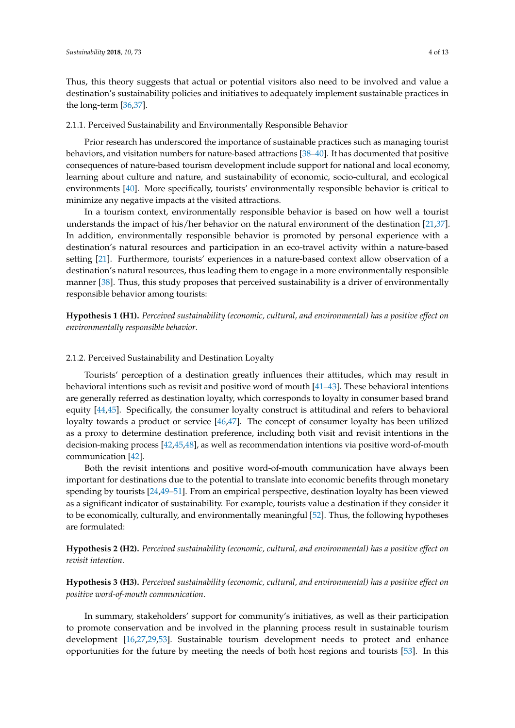the long-term [\[36](#page-10-20)[,37\]](#page-10-21).

Thus, this theory suggests that actual or potential visitors also need to be involved and value a destination's sustainability policies and initiatives to adequately implement sustainable practices in

# 2.1.1. Perceived Sustainability and Environmentally Responsible Behavior

Prior research has underscored the importance of sustainable practices such as managing tourist behaviors, and visitation numbers for nature-based attractions [\[38–](#page-10-22)[40\]](#page-11-0). It has documented that positive consequences of nature-based tourism development include support for national and local economy, learning about culture and nature, and sustainability of economic, socio-cultural, and ecological environments [\[40\]](#page-11-0). More specifically, tourists' environmentally responsible behavior is critical to minimize any negative impacts at the visited attractions.

In a tourism context, environmentally responsible behavior is based on how well a tourist understands the impact of his/her behavior on the natural environment of the destination [\[21,](#page-10-6)[37\]](#page-10-21). In addition, environmentally responsible behavior is promoted by personal experience with a destination's natural resources and participation in an eco-travel activity within a nature-based setting [\[21\]](#page-10-6). Furthermore, tourists' experiences in a nature-based context allow observation of a destination's natural resources, thus leading them to engage in a more environmentally responsible manner [\[38\]](#page-10-22). Thus, this study proposes that perceived sustainability is a driver of environmentally responsible behavior among tourists:

**Hypothesis 1 (H1).** *Perceived sustainability (economic, cultural, and environmental) has a positive effect on environmentally responsible behavior*.

#### <span id="page-3-0"></span>2.1.2. Perceived Sustainability and Destination Loyalty

Tourists' perception of a destination greatly influences their attitudes, which may result in behavioral intentions such as revisit and positive word of mouth [\[41](#page-11-1)[–43\]](#page-11-2). These behavioral intentions are generally referred as destination loyalty, which corresponds to loyalty in consumer based brand equity [\[44,](#page-11-3)[45\]](#page-11-4). Specifically, the consumer loyalty construct is attitudinal and refers to behavioral loyalty towards a product or service [\[46,](#page-11-5)[47\]](#page-11-6). The concept of consumer loyalty has been utilized as a proxy to determine destination preference, including both visit and revisit intentions in the decision-making process [\[42](#page-11-7)[,45,](#page-11-4)[48\]](#page-11-8), as well as recommendation intentions via positive word-of-mouth communication [\[42\]](#page-11-7).

Both the revisit intentions and positive word-of-mouth communication have always been important for destinations due to the potential to translate into economic benefits through monetary spending by tourists [\[24](#page-10-9)[,49–](#page-11-9)[51\]](#page-11-10). From an empirical perspective, destination loyalty has been viewed as a significant indicator of sustainability. For example, tourists value a destination if they consider it to be economically, culturally, and environmentally meaningful [\[52\]](#page-11-11). Thus, the following hypotheses are formulated:

**Hypothesis 2 (H2).** *Perceived sustainability (economic, cultural, and environmental) has a positive effect on revisit intention*.

**Hypothesis 3 (H3).** *Perceived sustainability (economic, cultural, and environmental) has a positive effect on positive word-of-mouth communication*.

In summary, stakeholders' support for community's initiatives, as well as their participation to promote conservation and be involved in the planning process result in sustainable tourism development [\[16](#page-10-0)[,27](#page-10-12)[,29](#page-10-13)[,53\]](#page-11-12). Sustainable tourism development needs to protect and enhance opportunities for the future by meeting the needs of both host regions and tourists [\[53\]](#page-11-12). In this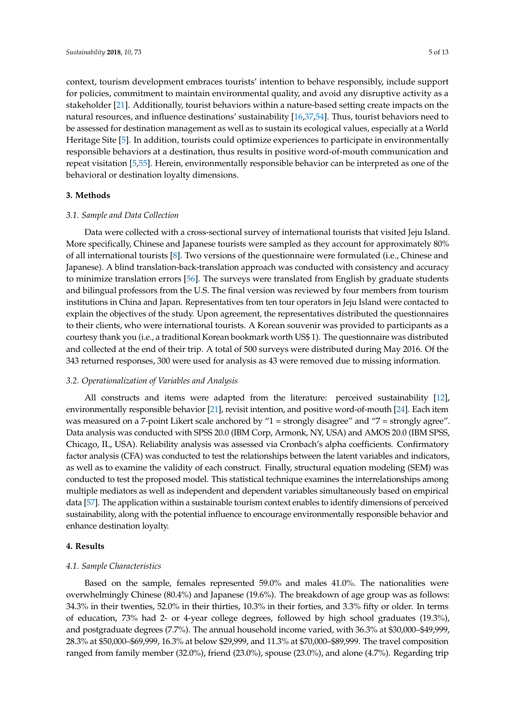context, tourism development embraces tourists' intention to behave responsibly, include support for policies, commitment to maintain environmental quality, and avoid any disruptive activity as a stakeholder [\[21\]](#page-10-6). Additionally, tourist behaviors within a nature-based setting create impacts on the natural resources, and influence destinations' sustainability [\[16](#page-10-0)[,37](#page-10-21)[,54\]](#page-11-13). Thus, tourist behaviors need to be assessed for destination management as well as to sustain its ecological values, especially at a World Heritage Site [\[5\]](#page-9-4). In addition, tourists could optimize experiences to participate in environmentally responsible behaviors at a destination, thus results in positive word-of-mouth communication and repeat visitation [\[5](#page-9-4)[,55\]](#page-11-14). Herein, environmentally responsible behavior can be interpreted as one of the behavioral or destination loyalty dimensions.

#### <span id="page-4-0"></span>**3. Methods**

#### *3.1. Sample and Data Collection*

Data were collected with a cross-sectional survey of international tourists that visited Jeju Island. More specifically, Chinese and Japanese tourists were sampled as they account for approximately 80% of all international tourists [\[8\]](#page-9-7). Two versions of the questionnaire were formulated (i.e., Chinese and Japanese). A blind translation-back-translation approach was conducted with consistency and accuracy to minimize translation errors [\[56\]](#page-11-15). The surveys were translated from English by graduate students and bilingual professors from the U.S. The final version was reviewed by four members from tourism institutions in China and Japan. Representatives from ten tour operators in Jeju Island were contacted to explain the objectives of the study. Upon agreement, the representatives distributed the questionnaires to their clients, who were international tourists. A Korean souvenir was provided to participants as a courtesy thank you (i.e., a traditional Korean bookmark worth US\$ 1). The questionnaire was distributed and collected at the end of their trip. A total of 500 surveys were distributed during May 2016. Of the 343 returned responses, 300 were used for analysis as 43 were removed due to missing information.

# *3.2. Operationalization of Variables and Analysis*

All constructs and items were adapted from the literature: perceived sustainability [\[12\]](#page-9-11), environmentally responsible behavior [\[21\]](#page-10-6), revisit intention, and positive word-of-mouth [\[24\]](#page-10-9). Each item was measured on a 7-point Likert scale anchored by "1 = strongly disagree" and "7 = strongly agree". Data analysis was conducted with SPSS 20.0 (IBM Corp, Armonk, NY, USA) and AMOS 20.0 (IBM SPSS, Chicago, IL, USA). Reliability analysis was assessed via Cronbach's alpha coefficients. Confirmatory factor analysis (CFA) was conducted to test the relationships between the latent variables and indicators, as well as to examine the validity of each construct. Finally, structural equation modeling (SEM) was conducted to test the proposed model. This statistical technique examines the interrelationships among multiple mediators as well as independent and dependent variables simultaneously based on empirical data [\[57\]](#page-11-16). The application within a sustainable tourism context enables to identify dimensions of perceived sustainability, along with the potential influence to encourage environmentally responsible behavior and enhance destination loyalty.

#### **4. Results**

#### *4.1. Sample Characteristics*

Based on the sample, females represented 59.0% and males 41.0%. The nationalities were overwhelmingly Chinese (80.4%) and Japanese (19.6%). The breakdown of age group was as follows: 34.3% in their twenties, 52.0% in their thirties, 10.3% in their forties, and 3.3% fifty or older. In terms of education, 73% had 2- or 4-year college degrees, followed by high school graduates (19.3%), and postgraduate degrees (7.7%). The annual household income varied, with 36.3% at \$30,000–\$49,999, 28.3% at \$50,000–\$69,999, 16.3% at below \$29,999, and 11.3% at \$70,000–\$89,999. The travel composition ranged from family member (32.0%), friend (23.0%), spouse (23.0%), and alone (4.7%). Regarding trip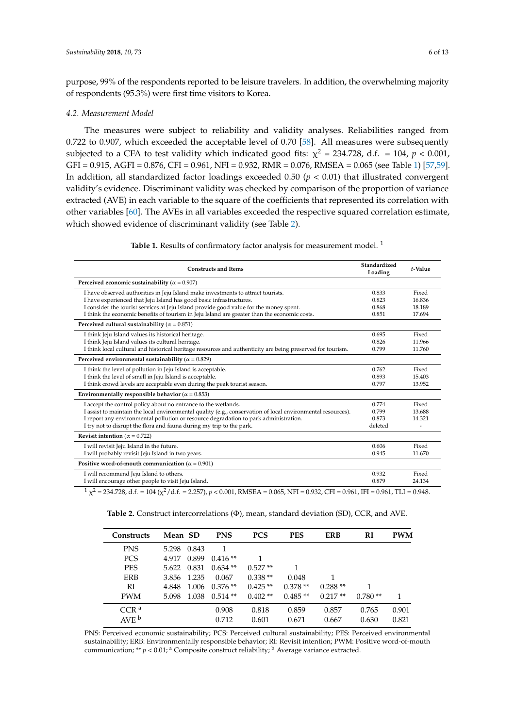purpose, 99% of the respondents reported to be leisure travelers. In addition, the overwhelming majority of respondents (95.3%) were first time visitors to Korea.

#### *4.2. Measurement Model*

The measures were subject to reliability and validity analyses. Reliabilities ranged from 0.722 to 0.907, which exceeded the acceptable level of 0.70 [\[58\]](#page-11-17). All measures were subsequently subjected to a CFA to test validity which indicated good fits:  $\chi^2$  = 234.728, d.f. = 104,  $p < 0.001$ , GFI = 0.915, AGFI = 0.876, CFI = 0.961, NFI = 0.932, RMR = 0.076, RMSEA = 0.065 (see Table [1\)](#page-5-0) [\[57](#page-11-16)[,59\]](#page-11-18). In addition, all standardized factor loadings exceeded 0.50  $(p < 0.01)$  that illustrated convergent validity's evidence. Discriminant validity was checked by comparison of the proportion of variance extracted (AVE) in each variable to the square of the coefficients that represented its correlation with other variables [\[60\]](#page-11-19). The AVEs in all variables exceeded the respective squared correlation estimate, which showed evidence of discriminant validity (see Table [2\)](#page-5-1).

Table 1. Results of confirmatory factor analysis for measurement model.<sup>1</sup>

<span id="page-5-0"></span>

| <b>Constructs and Items</b>                                                                                 | Standardized<br>Loading | t-Value |
|-------------------------------------------------------------------------------------------------------------|-------------------------|---------|
| Perceived economic sustainability ( $\alpha = 0.907$ )                                                      |                         |         |
| I have observed authorities in Jeju Island make investments to attract tourists.                            | 0.833                   | Fixed   |
| I have experienced that Jeju Island has good basic infrastructures.                                         | 0.823                   | 16.836  |
| I consider the tourist services at Jeju Island provide good value for the money spent.                      | 0.868                   | 18.189  |
| I think the economic benefits of tourism in Jeju Island are greater than the economic costs.                | 0.851                   | 17.694  |
| Perceived cultural sustainability ( $\alpha = 0.851$ )                                                      |                         |         |
| I think Jeju Island values its historical heritage.                                                         | 0.695                   | Fixed   |
| I think Jeju Island values its cultural heritage.                                                           | 0.826                   | 11.966  |
| I think local cultural and historical heritage resources and authenticity are being preserved for tourism.  | 0.799                   | 11.760  |
| Perceived environmental sustainability ( $\alpha = 0.829$ )                                                 |                         |         |
| I think the level of pollution in Jeju Island is acceptable.                                                | 0.762                   | Fixed   |
| I think the level of smell in Jeju Island is acceptable.                                                    | 0.893                   | 15.403  |
| I think crowd levels are acceptable even during the peak tourist season.                                    | 0.797                   | 13.952  |
| Environmentally responsible behavior ( $\alpha = 0.853$ )                                                   |                         |         |
| I accept the control policy about no entrance to the wetlands.                                              | 0.774                   | Fixed   |
| I assist to maintain the local environmental quality (e.g., conservation of local environmental resources). | 0.799                   | 13.688  |
| I report any environmental pollution or resource degradation to park administration.                        | 0.873                   | 14.321  |
| I try not to disrupt the flora and fauna during my trip to the park.                                        | deleted                 |         |
| Revisit intention ( $\alpha$ = 0.722)                                                                       |                         |         |
| I will revisit Jeju Island in the future.                                                                   | 0.606                   | Fixed   |
| I will probably revisit Jeju Island in two years.                                                           | 0.945                   | 11.670  |
| Positive word-of-mouth communication ( $\alpha$ = 0.901)                                                    |                         |         |
| I will recommend Jeju Island to others.                                                                     | 0.932                   | Fixed   |
| I will encourage other people to visit Jeju Island.                                                         | 0.879                   | 24.134  |

<span id="page-5-1"></span><sup>1</sup> χ<sup>2</sup> = 234.728, d.f. = 104 (χ<sup>2</sup>/d.f. = 2.257), *p* < 0.001, RMSEA = 0.065, NFI = 0.932, CFI = 0.961, IFI = 0.961, TLI = 0.948.

| <b>Constructs</b> | Mean SD |             | <b>PNS</b> | <b>PCS</b> | <b>PES</b> | <b>ERB</b> | RI        | <b>PWM</b> |
|-------------------|---------|-------------|------------|------------|------------|------------|-----------|------------|
| <b>PNS</b>        | 5.298   | 0.843       | 1          |            |            |            |           |            |
| <b>PCS</b>        | 4.917   | 0.899       | $0.416**$  | 1          |            |            |           |            |
| <b>PES</b>        |         | 5.622 0.831 | $0.634**$  | $0.527**$  | 1          |            |           |            |
| ERB               |         | 3.856 1.235 | 0.067      | $0.338**$  | 0.048      |            |           |            |
| RI                | 4.848   | 1.006       | $0.376**$  | $0.425**$  | $0.378**$  | $0.288**$  |           |            |
| <b>PWM</b>        | 5.098   | 1.038       | $0.514**$  | $0.402**$  | $0.485**$  | $0.217**$  | $0.780**$ |            |
| CCR <sup>a</sup>  |         |             | 0.908      | 0.818      | 0.859      | 0.857      | 0.765     | 0.901      |
| AVE <sup>b</sup>  |         |             | 0.712      | 0.601      | 0.671      | 0.667      | 0.630     | 0.821      |

**Table 2.** Construct intercorrelations (Φ), mean, standard deviation (SD), CCR, and AVE.

PNS: Perceived economic sustainability; PCS: Perceived cultural sustainability; PES: Perceived environmental sustainability; ERB: Environmentally responsible behavior; RI: Revisit intention; PWM: Positive word-of-mouth communication; \*\*  $p < 0.01$ ; <sup>a</sup> Composite construct reliability; <sup>b</sup> Average variance extracted.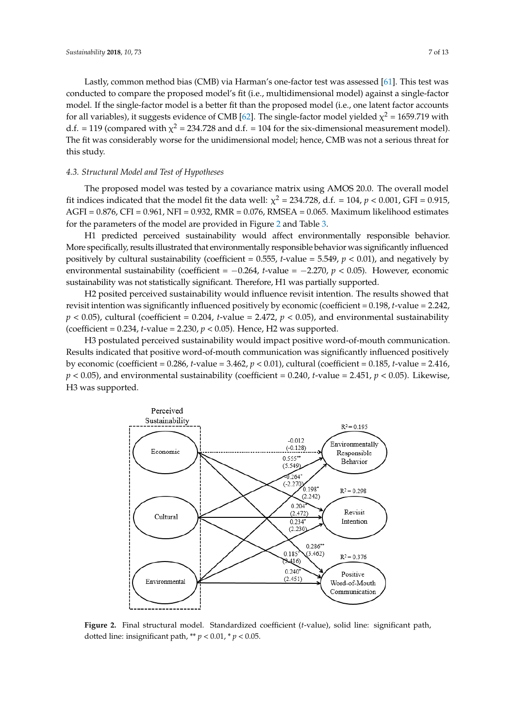Lastly, common method bias (CMB) via Harman's one-factor test was assessed [\[61\]](#page-11-20). This test was conducted to compare the proposed model's fit (i.e., multidimensional model) against a single-factor model. If the single-factor model is a better fit than the proposed model (i.e., one latent factor accounts *Sustainability* **2018**, *10*, 0073 10.3390/su10010073 7 of 13 for all variables), it suggests evidence of CMB [\[62\]](#page-11-21). The single-factor model yielded  $\chi^2$  = 1659.719 with d.f. = 119 (compared with  $\chi^2$  = 234.728 and d.f. = 104 for the six-dimensional measurement model). The fit was considerably worse for the unidimensional model; hence, CMB was not a serious threat for this study.

# *4.3. Structural Model and Test of Hypotheses 4.3. Structural Model and Test of Hypotheses*

The proposed model was tested by a covariance matrix using AMOS 20.0. The overall model fit indices indicated that the model fit the data well:  $\chi^2$  = 234.728, d.f. = 104,  $p$  < 0.001, GFI = 0.915,  $AGFI = 0.876$ , CFI = 0.961, NFI = 0.932, RMR = 0.076, RMSEA = 0.065. Maximum likelihood estimates for the parameters of the model are provided in Figure 2 and Table [3.](#page-7-0) parameters of the model are provided in Figure 2 and [Ta](#page-6-0)ble 3.

H1 predicted perceived sustainability would affect environmentally responsible behavior. H1 predicted perceived sustainability would affect environmentally responsible behavior. More More specifically, results illustrated that environmentally responsible behavior was significantly influenced specifically, results illustrated that environmentally responsible behavior was significantly positively by cultural sustainability (coefficient =  $0.555$ , *t*-value =  $5.549$ ,  $p < 0.01$ ), and negatively by environmental sustainability (coefficient =  $-0.264$ , *t*-value =  $-2.270$ ,  $p < 0.05$ ). However, economic sustainability was not statistically significant. Therefore, H1 was partially supported.

H2 posited perceived sustainability would influence revisit intention. The results showed that H2 posited perceived sustainability would influence revisit intention. The results showed that revisit intention was significantly influenced positively by economic (coefficient = 0.198, *t*-value = 2.242, revisit intention was significantly influenced positively by economic (coefficient = 0.198, *t*-value =  $p < 0.05$ ), cultural (coefficient = 0.204, *t*-value = 2.472,  $p < 0.05$ ), and environmental sustainability (coefficient =  $0.234$ , *t*-value =  $2.230$ ,  $p < 0.05$ ). Hence, H2 was supported.

H3 postulated perceived sustainability would impact positive word-of-mouth communication. H3 postulated perceived sustainability would impact positive word-of-mouth communication. Results indicated that positive word-of-mouth communication was significantly influenced positively by economic (coefficient =  $0.286$ , *t*-value =  $3.462$ ,  $p < 0.01$ ), cultural (coefficient =  $0.185$ , *t*-value =  $2.416$ ,  $p < 0.05$ ), and environmental sustainability (coefficient = 0.240, *t*-value = 2.451,  $p < 0.05$ ). Likewise, H3 was supported.

<span id="page-6-0"></span>

Figure 2. Final structural model. Standardized coefficient (t-value), solid line: significant path, dotted line: insignificant path,  $* p < 0.01$ ,  $* p < 0.05$ .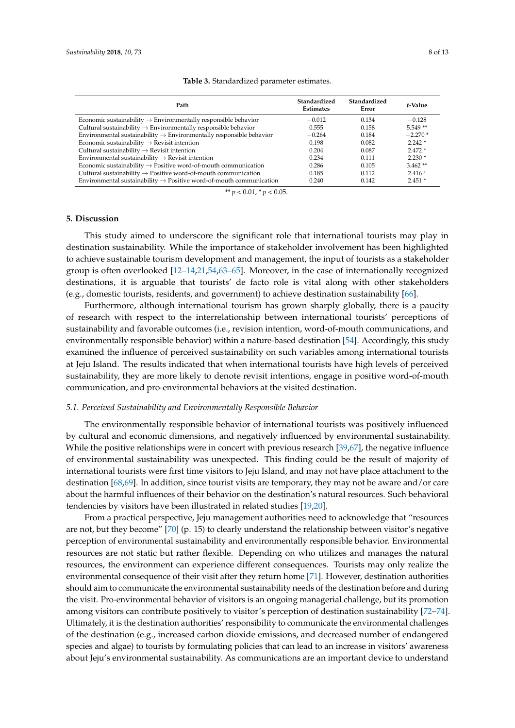<span id="page-7-0"></span>

| Path                                                                            | Standardized<br><b>Estimates</b> | Standardized<br>Error | t-Value   |
|---------------------------------------------------------------------------------|----------------------------------|-----------------------|-----------|
| Economic sustainability $\rightarrow$ Environmentally responsible behavior      | $-0.012$                         | 0.134                 | $-0.128$  |
| Cultural sustainability $\rightarrow$ Environmentally responsible behavior      | 0.555                            | 0.158                 | $5.549**$ |
| Environmental sustainability $\rightarrow$ Environmentally responsible behavior | $-0.264$                         | 0.184                 | $-2.270*$ |
| Economic sustainability $\rightarrow$ Revisit intention                         | 0.198                            | 0.082                 | $2.242*$  |
| Cultural sustainability $\rightarrow$ Revisit intention                         | 0.204                            | 0.087                 | $2.472*$  |
| Environmental sustainability $\rightarrow$ Revisit intention                    | 0.234                            | 0.111                 | $2.230*$  |
| Economic sustainability $\rightarrow$ Positive word-of-mouth communication      | 0.286                            | 0.105                 | $3.462**$ |
| Cultural sustainability $\rightarrow$ Positive word-of-mouth communication      | 0.185                            | 0.112                 | $2.416*$  |
| Environmental sustainability $\rightarrow$ Positive word-of-mouth communication | 0.240                            | 0.142                 | $2.451*$  |

#### **Table 3.** Standardized parameter estimates.

\*\* *p* < 0.01, \* *p* < 0.05.

#### <span id="page-7-1"></span>**5. Discussion**

This study aimed to underscore the significant role that international tourists may play in destination sustainability. While the importance of stakeholder involvement has been highlighted to achieve sustainable tourism development and management, the input of tourists as a stakeholder group is often overlooked [\[12](#page-9-11)[–14](#page-9-13)[,21](#page-10-6)[,54](#page-11-13)[,63–](#page-11-22)[65\]](#page-11-23). Moreover, in the case of internationally recognized destinations, it is arguable that tourists' de facto role is vital along with other stakeholders (e.g., domestic tourists, residents, and government) to achieve destination sustainability [\[66\]](#page-12-0).

Furthermore, although international tourism has grown sharply globally, there is a paucity of research with respect to the interrelationship between international tourists' perceptions of sustainability and favorable outcomes (i.e., revision intention, word-of-mouth communications, and environmentally responsible behavior) within a nature-based destination [\[54\]](#page-11-13). Accordingly, this study examined the influence of perceived sustainability on such variables among international tourists at Jeju Island. The results indicated that when international tourists have high levels of perceived sustainability, they are more likely to denote revisit intentions, engage in positive word-of-mouth communication, and pro-environmental behaviors at the visited destination.

#### *5.1. Perceived Sustainability and Environmentally Responsible Behavior*

The environmentally responsible behavior of international tourists was positively influenced by cultural and economic dimensions, and negatively influenced by environmental sustainability. While the positive relationships were in concert with previous research [\[39](#page-10-23)[,67\]](#page-12-1), the negative influence of environmental sustainability was unexpected. This finding could be the result of majority of international tourists were first time visitors to Jeju Island, and may not have place attachment to the destination [\[68](#page-12-2)[,69\]](#page-12-3). In addition, since tourist visits are temporary, they may not be aware and/or care about the harmful influences of their behavior on the destination's natural resources. Such behavioral tendencies by visitors have been illustrated in related studies [\[19](#page-10-4)[,20\]](#page-10-5).

From a practical perspective, Jeju management authorities need to acknowledge that "resources are not, but they become" [\[70\]](#page-12-4) (p. 15) to clearly understand the relationship between visitor's negative perception of environmental sustainability and environmentally responsible behavior. Environmental resources are not static but rather flexible. Depending on who utilizes and manages the natural resources, the environment can experience different consequences. Tourists may only realize the environmental consequence of their visit after they return home [\[71\]](#page-12-5). However, destination authorities should aim to communicate the environmental sustainability needs of the destination before and during the visit. Pro-environmental behavior of visitors is an ongoing managerial challenge, but its promotion among visitors can contribute positively to visitor's perception of destination sustainability [\[72–](#page-12-6)[74\]](#page-12-7). Ultimately, it is the destination authorities' responsibility to communicate the environmental challenges of the destination (e.g., increased carbon dioxide emissions, and decreased number of endangered species and algae) to tourists by formulating policies that can lead to an increase in visitors' awareness about Jeju's environmental sustainability. As communications are an important device to understand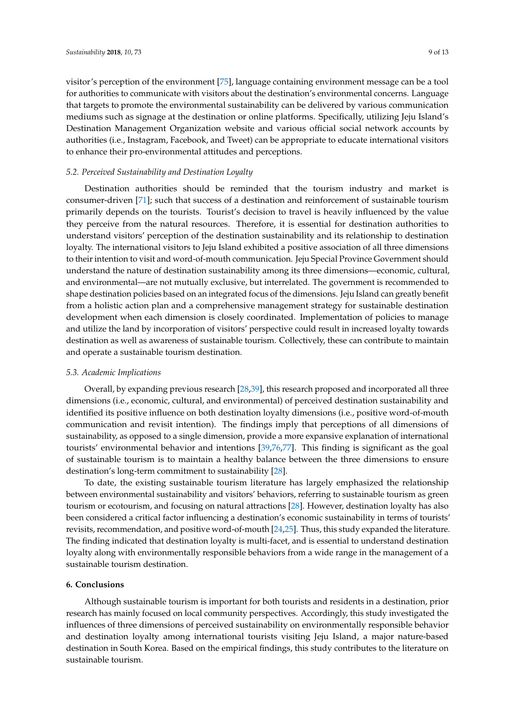visitor's perception of the environment [\[75\]](#page-12-8), language containing environment message can be a tool for authorities to communicate with visitors about the destination's environmental concerns. Language that targets to promote the environmental sustainability can be delivered by various communication mediums such as signage at the destination or online platforms. Specifically, utilizing Jeju Island's Destination Management Organization website and various official social network accounts by authorities (i.e., Instagram, Facebook, and Tweet) can be appropriate to educate international visitors to enhance their pro-environmental attitudes and perceptions.

#### *5.2. Perceived Sustainability and Destination Loyalty*

Destination authorities should be reminded that the tourism industry and market is consumer-driven [\[71\]](#page-12-5); such that success of a destination and reinforcement of sustainable tourism primarily depends on the tourists. Tourist's decision to travel is heavily influenced by the value they perceive from the natural resources. Therefore, it is essential for destination authorities to understand visitors' perception of the destination sustainability and its relationship to destination loyalty. The international visitors to Jeju Island exhibited a positive association of all three dimensions to their intention to visit and word-of-mouth communication. Jeju Special Province Government should understand the nature of destination sustainability among its three dimensions—economic, cultural, and environmental—are not mutually exclusive, but interrelated. The government is recommended to shape destination policies based on an integrated focus of the dimensions. Jeju Island can greatly benefit from a holistic action plan and a comprehensive management strategy for sustainable destination development when each dimension is closely coordinated. Implementation of policies to manage and utilize the land by incorporation of visitors' perspective could result in increased loyalty towards destination as well as awareness of sustainable tourism. Collectively, these can contribute to maintain and operate a sustainable tourism destination.

#### *5.3. Academic Implications*

Overall, by expanding previous research [\[28,](#page-10-24)[39\]](#page-10-23), this research proposed and incorporated all three dimensions (i.e., economic, cultural, and environmental) of perceived destination sustainability and identified its positive influence on both destination loyalty dimensions (i.e., positive word-of-mouth communication and revisit intention). The findings imply that perceptions of all dimensions of sustainability, as opposed to a single dimension, provide a more expansive explanation of international tourists' environmental behavior and intentions [\[39](#page-10-23)[,76](#page-12-9)[,77\]](#page-12-10). This finding is significant as the goal of sustainable tourism is to maintain a healthy balance between the three dimensions to ensure destination's long-term commitment to sustainability [\[28\]](#page-10-24).

To date, the existing sustainable tourism literature has largely emphasized the relationship between environmental sustainability and visitors' behaviors, referring to sustainable tourism as green tourism or ecotourism, and focusing on natural attractions [\[28\]](#page-10-24). However, destination loyalty has also been considered a critical factor influencing a destination's economic sustainability in terms of tourists' revisits, recommendation, and positive word-of-mouth [\[24](#page-10-9)[,25\]](#page-10-10). Thus, this study expanded the literature. The finding indicated that destination loyalty is multi-facet, and is essential to understand destination loyalty along with environmentally responsible behaviors from a wide range in the management of a sustainable tourism destination.

#### **6. Conclusions**

Although sustainable tourism is important for both tourists and residents in a destination, prior research has mainly focused on local community perspectives. Accordingly, this study investigated the influences of three dimensions of perceived sustainability on environmentally responsible behavior and destination loyalty among international tourists visiting Jeju Island, a major nature-based destination in South Korea. Based on the empirical findings, this study contributes to the literature on sustainable tourism.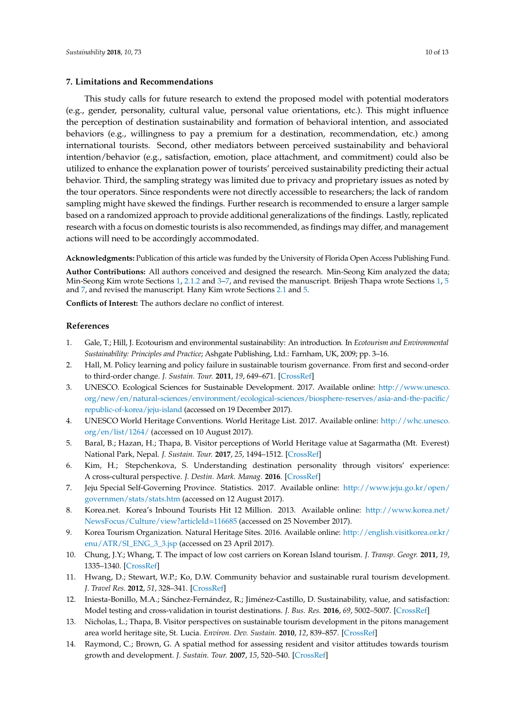#### <span id="page-9-14"></span>**7. Limitations and Recommendations**

This study calls for future research to extend the proposed model with potential moderators (e.g., gender, personality, cultural value, personal value orientations, etc.). This might influence the perception of destination sustainability and formation of behavioral intention, and associated behaviors (e.g., willingness to pay a premium for a destination, recommendation, etc.) among international tourists. Second, other mediators between perceived sustainability and behavioral intention/behavior (e.g., satisfaction, emotion, place attachment, and commitment) could also be utilized to enhance the explanation power of tourists' perceived sustainability predicting their actual behavior. Third, the sampling strategy was limited due to privacy and proprietary issues as noted by the tour operators. Since respondents were not directly accessible to researchers; the lack of random sampling might have skewed the findings. Further research is recommended to ensure a larger sample based on a randomized approach to provide additional generalizations of the findings. Lastly, replicated research with a focus on domestic tourists is also recommended, as findings may differ, and management actions will need to be accordingly accommodated.

**Acknowledgments:** Publication of this article was funded by the University of Florida Open Access Publishing Fund.

**Author Contributions:** All authors conceived and designed the research. Min-Seong Kim analyzed the data; Min-Seong Kim wrote Sections [1,](#page-0-0) [2.1.2](#page-3-0) and [3–](#page-4-0)[7,](#page-9-14) and revised the manuscript. Brijesh Thapa wrote Sections [1,](#page-0-0) [5](#page-7-1) and [7,](#page-9-14) and revised the manuscript. Hany Kim wrote Sections [2.1](#page-2-0) and [5.](#page-7-1)

**Conflicts of Interest:** The authors declare no conflict of interest.

# **References**

- <span id="page-9-0"></span>1. Gale, T.; Hill, J. Ecotourism and environmental sustainability: An introduction. In *Ecotourism and Environmental Sustainability: Principles and Practice*; Ashgate Publishing, Ltd.: Farnham, UK, 2009; pp. 3–16.
- <span id="page-9-1"></span>2. Hall, M. Policy learning and policy failure in sustainable tourism governance. From first and second-order to third-order change. *J. Sustain. Tour.* **2011**, *19*, 649–671. [\[CrossRef\]](http://dx.doi.org/10.1080/09669582.2011.555555)
- <span id="page-9-2"></span>3. UNESCO. Ecological Sciences for Sustainable Development. 2017. Available online: [http://www.unesco.](http://www.unesco.org/new/en/natural-sciences/environment/ecological-sciences/biosphere-reserves/asia-and-the-pacific/republic-of-korea/jeju-island) [org/new/en/natural-sciences/environment/ecological-sciences/biosphere-reserves/asia-and-the-pacific/](http://www.unesco.org/new/en/natural-sciences/environment/ecological-sciences/biosphere-reserves/asia-and-the-pacific/republic-of-korea/jeju-island) [republic-of-korea/jeju-island](http://www.unesco.org/new/en/natural-sciences/environment/ecological-sciences/biosphere-reserves/asia-and-the-pacific/republic-of-korea/jeju-island) (accessed on 19 December 2017).
- <span id="page-9-3"></span>4. UNESCO World Heritage Conventions. World Heritage List. 2017. Available online: [http://whc.unesco.](http://whc.unesco.org/en/list/1264/) [org/en/list/1264/](http://whc.unesco.org/en/list/1264/) (accessed on 10 August 2017).
- <span id="page-9-4"></span>5. Baral, B.; Hazan, H.; Thapa, B. Visitor perceptions of World Heritage value at Sagarmatha (Mt. Everest) National Park, Nepal. *J. Sustain. Tour.* **2017**, *25*, 1494–1512. [\[CrossRef\]](http://dx.doi.org/10.1080/09669582.2017.1291647)
- <span id="page-9-5"></span>6. Kim, H.; Stepchenkova, S. Understanding destination personality through visitors' experience: A cross-cultural perspective. *J. Destin. Mark. Manag.* **2016**. [\[CrossRef\]](http://dx.doi.org/10.1016/j.jdmm.2016.06.010)
- <span id="page-9-6"></span>7. Jeju Special Self-Governing Province. Statistics. 2017. Available online: [http://www.jeju.go.kr/open/](http://www.jeju.go.kr/open/governmen/stats/stats.htm) [governmen/stats/stats.htm](http://www.jeju.go.kr/open/governmen/stats/stats.htm) (accessed on 12 August 2017).
- <span id="page-9-7"></span>8. Korea.net. Korea's Inbound Tourists Hit 12 Million. 2013. Available online: [http://www.korea.net/](http://www.korea.net/NewsFocus/Culture/view?articleId=116685) [NewsFocus/Culture/view?articleId=116685](http://www.korea.net/NewsFocus/Culture/view?articleId=116685) (accessed on 25 November 2017).
- <span id="page-9-8"></span>9. Korea Tourism Organization. Natural Heritage Sites. 2016. Available online: [http://english.visitkorea.or.kr/](http://english.visitkorea.or.kr/enu/ATR/SI_ENG_3_3.jsp) [enu/ATR/SI\\_ENG\\_3\\_3.jsp](http://english.visitkorea.or.kr/enu/ATR/SI_ENG_3_3.jsp) (accessed on 23 April 2017).
- <span id="page-9-9"></span>10. Chung, J.Y.; Whang, T. The impact of low cost carriers on Korean Island tourism. *J. Transp. Geogr.* **2011**, *19*, 1335–1340. [\[CrossRef\]](http://dx.doi.org/10.1016/j.jtrangeo.2011.07.004)
- <span id="page-9-10"></span>11. Hwang, D.; Stewart, W.P.; Ko, D.W. Community behavior and sustainable rural tourism development. *J. Travel Res.* **2012**, *51*, 328–341. [\[CrossRef\]](http://dx.doi.org/10.1177/0047287511410350)
- <span id="page-9-11"></span>12. Iniesta-Bonillo, M.A.; Sánchez-Fernández, R.; Jiménez-Castillo, D. Sustainability, value, and satisfaction: Model testing and cross-validation in tourist destinations. *J. Bus. Res.* **2016**, *69*, 5002–5007. [\[CrossRef\]](http://dx.doi.org/10.1016/j.jbusres.2016.04.071)
- <span id="page-9-12"></span>13. Nicholas, L.; Thapa, B. Visitor perspectives on sustainable tourism development in the pitons management area world heritage site, St. Lucia. *Environ. Dev. Sustain.* **2010**, *12*, 839–857. [\[CrossRef\]](http://dx.doi.org/10.1007/s10668-009-9227-y)
- <span id="page-9-13"></span>14. Raymond, C.; Brown, G. A spatial method for assessing resident and visitor attitudes towards tourism growth and development. *J. Sustain. Tour.* **2007**, *15*, 520–540. [\[CrossRef\]](http://dx.doi.org/10.2167/jost681.0)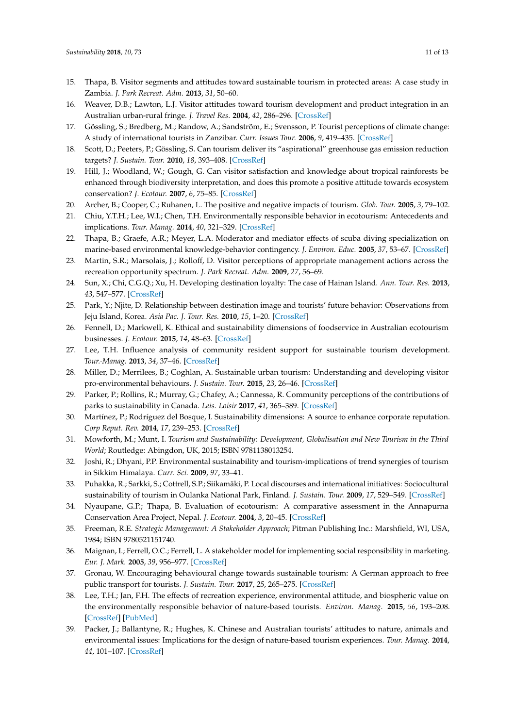- <span id="page-10-1"></span>15. Thapa, B. Visitor segments and attitudes toward sustainable tourism in protected areas: A case study in Zambia. *J. Park Recreat. Adm.* **2013**, *31*, 50–60.
- <span id="page-10-0"></span>16. Weaver, D.B.; Lawton, L.J. Visitor attitudes toward tourism development and product integration in an Australian urban-rural fringe. *J. Travel Res.* **2004**, *42*, 286–296. [\[CrossRef\]](http://dx.doi.org/10.1177/0047287503258834)
- <span id="page-10-2"></span>17. Gössling, S.; Bredberg, M.; Randow, A.; Sandström, E.; Svensson, P. Tourist perceptions of climate change: A study of international tourists in Zanzibar. *Curr. Issues Tour.* **2006**, *9*, 419–435. [\[CrossRef\]](http://dx.doi.org/10.2167/cit265.0)
- <span id="page-10-3"></span>18. Scott, D.; Peeters, P.; Gössling, S. Can tourism deliver its "aspirational" greenhouse gas emission reduction targets? *J. Sustain. Tour.* **2010**, *18*, 393–408. [\[CrossRef\]](http://dx.doi.org/10.1080/09669581003653542)
- <span id="page-10-4"></span>19. Hill, J.; Woodland, W.; Gough, G. Can visitor satisfaction and knowledge about tropical rainforests be enhanced through biodiversity interpretation, and does this promote a positive attitude towards ecosystem conservation? *J. Ecotour.* **2007**, *6*, 75–85. [\[CrossRef\]](http://dx.doi.org/10.2167/joe166.0)
- <span id="page-10-5"></span>20. Archer, B.; Cooper, C.; Ruhanen, L. The positive and negative impacts of tourism. *Glob. Tour.* **2005**, *3*, 79–102.
- <span id="page-10-6"></span>21. Chiu, Y.T.H.; Lee, W.I.; Chen, T.H. Environmentally responsible behavior in ecotourism: Antecedents and implications. *Tour. Manag.* **2014**, *40*, 321–329. [\[CrossRef\]](http://dx.doi.org/10.1016/j.tourman.2013.06.013)
- <span id="page-10-7"></span>22. Thapa, B.; Graefe, A.R.; Meyer, L.A. Moderator and mediator effects of scuba diving specialization on marine-based environmental knowledge-behavior contingency. *J. Environ. Educ.* **2005**, *37*, 53–67. [\[CrossRef\]](http://dx.doi.org/10.3200/JOEE.37.1.53-68)
- <span id="page-10-8"></span>23. Martin, S.R.; Marsolais, J.; Rolloff, D. Visitor perceptions of appropriate management actions across the recreation opportunity spectrum. *J. Park Recreat. Adm.* **2009**, *27*, 56–69.
- <span id="page-10-9"></span>24. Sun, X.; Chi, C.G.Q.; Xu, H. Developing destination loyalty: The case of Hainan Island. *Ann. Tour. Res.* **2013**, *43*, 547–577. [\[CrossRef\]](http://dx.doi.org/10.1016/j.annals.2013.04.006)
- <span id="page-10-10"></span>25. Park, Y.; Njite, D. Relationship between destination image and tourists' future behavior: Observations from Jeju Island, Korea. *Asia Pac. J. Tour. Res.* **2010**, *15*, 1–20. [\[CrossRef\]](http://dx.doi.org/10.1080/10941660903510024)
- <span id="page-10-11"></span>26. Fennell, D.; Markwell, K. Ethical and sustainability dimensions of foodservice in Australian ecotourism businesses. *J. Ecotour.* **2015**, *14*, 48–63. [\[CrossRef\]](http://dx.doi.org/10.1080/14724049.2015.1080716)
- <span id="page-10-12"></span>27. Lee, T.H. Influence analysis of community resident support for sustainable tourism development. *Tour.·Manag.* **2013**, *34*, 37–46. [\[CrossRef\]](http://dx.doi.org/10.1016/j.tourman.2012.03.007)
- <span id="page-10-24"></span>28. Miller, D.; Merrilees, B.; Coghlan, A. Sustainable urban tourism: Understanding and developing visitor pro-environmental behaviours. *J. Sustain. Tour.* **2015**, *23*, 26–46. [\[CrossRef\]](http://dx.doi.org/10.1080/09669582.2014.912219)
- <span id="page-10-13"></span>29. Parker, P.; Rollins, R.; Murray, G.; Chafey, A.; Cannessa, R. Community perceptions of the contributions of parks to sustainability in Canada. *Leis. Loisir* **2017**, *41*, 365–389. [\[CrossRef\]](http://dx.doi.org/10.1080/14927713.2017.1352455)
- <span id="page-10-14"></span>30. Martínez, P.; Rodríguez del Bosque, I. Sustainability dimensions: A source to enhance corporate reputation. *Corp Reput. Rev.* **2014**, *17*, 239–253. [\[CrossRef\]](http://dx.doi.org/10.1057/crr.2014.13)
- <span id="page-10-15"></span>31. Mowforth, M.; Munt, I. *Tourism and Sustainability: Development, Globalisation and New Tourism in the Third World*; Routledge: Abingdon, UK, 2015; ISBN 9781138013254.
- <span id="page-10-16"></span>32. Joshi, R.; Dhyani, P.P. Environmental sustainability and tourism-implications of trend synergies of tourism in Sikkim Himalaya. *Curr. Sci.* **2009**, *97*, 33–41.
- <span id="page-10-17"></span>33. Puhakka, R.; Sarkki, S.; Cottrell, S.P.; Siikamäki, P. Local discourses and international initiatives: Sociocultural sustainability of tourism in Oulanka National Park, Finland. *J. Sustain. Tour.* **2009**, *17*, 529–549. [\[CrossRef\]](http://dx.doi.org/10.1080/09669580802713457)
- <span id="page-10-18"></span>34. Nyaupane, G.P.; Thapa, B. Evaluation of ecotourism: A comparative assessment in the Annapurna Conservation Area Project, Nepal. *J. Ecotour.* **2004**, *3*, 20–45. [\[CrossRef\]](http://dx.doi.org/10.1080/14724040408668148)
- <span id="page-10-19"></span>35. Freeman, R.E. *Strategic Management: A Stakeholder Approach*; Pitman Publishing Inc.: Marshfield, WI, USA, 1984; ISBN 9780521151740.
- <span id="page-10-20"></span>36. Maignan, I.; Ferrell, O.C.; Ferrell, L. A stakeholder model for implementing social responsibility in marketing. *Eur. J. Mark.* **2005**, *39*, 956–977. [\[CrossRef\]](http://dx.doi.org/10.1108/03090560510610662)
- <span id="page-10-21"></span>37. Gronau, W. Encouraging behavioural change towards sustainable tourism: A German approach to free public transport for tourists. *J. Sustain. Tour.* **2017**, *25*, 265–275. [\[CrossRef\]](http://dx.doi.org/10.1080/09669582.2016.1198357)
- <span id="page-10-22"></span>38. Lee, T.H.; Jan, F.H. The effects of recreation experience, environmental attitude, and biospheric value on the environmentally responsible behavior of nature-based tourists. *Environ. Manag.* **2015**, *56*, 193–208. [\[CrossRef\]](http://dx.doi.org/10.1007/s00267-015-0488-y) [\[PubMed\]](http://www.ncbi.nlm.nih.gov/pubmed/25840700)
- <span id="page-10-23"></span>39. Packer, J.; Ballantyne, R.; Hughes, K. Chinese and Australian tourists' attitudes to nature, animals and environmental issues: Implications for the design of nature-based tourism experiences. *Tour. Manag.* **2014**, *44*, 101–107. [\[CrossRef\]](http://dx.doi.org/10.1016/j.tourman.2014.02.013)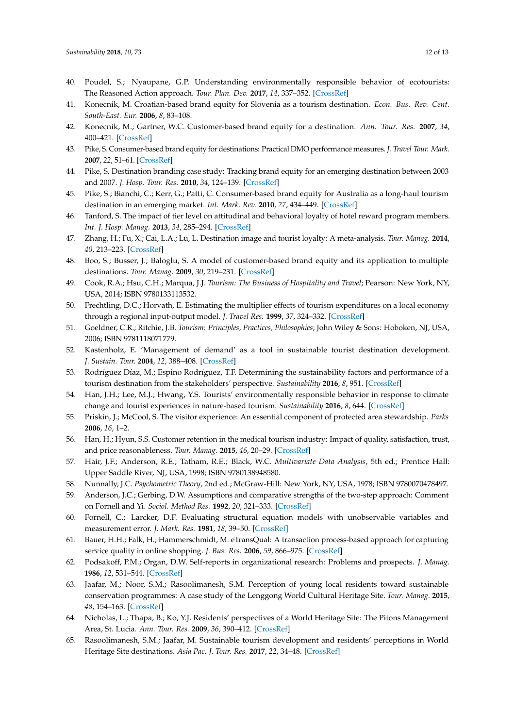- <span id="page-11-0"></span>40. Poudel, S.; Nyaupane, G.P. Understanding environmentally responsible behavior of ecotourists: The Reasoned Action approach. *Tour. Plan. Dev.* **2017**, *14*, 337–352. [\[CrossRef\]](http://dx.doi.org/10.1080/21568316.2016.1221851)
- <span id="page-11-1"></span>41. Konecnik, M. Croatian-based brand equity for Slovenia as a tourism destination. *Econ. Bus. Rev. Cent. South-East. Eur.* **2006**, *8*, 83–108.
- <span id="page-11-7"></span>42. Konecnik, M.; Gartner, W.C. Customer-based brand equity for a destination. *Ann. Tour. Res.* **2007**, *34*, 400–421. [\[CrossRef\]](http://dx.doi.org/10.1016/j.annals.2006.10.005)
- <span id="page-11-2"></span>43. Pike, S. Consumer-based brand equity for destinations: Practical DMO performance measures. *J. Travel Tour. Mark.* **2007**, *22*, 51–61. [\[CrossRef\]](http://dx.doi.org/10.1300/J073v22n01_04)
- <span id="page-11-3"></span>44. Pike, S. Destination branding case study: Tracking brand equity for an emerging destination between 2003 and 2007. *J. Hosp. Tour. Res.* **2010**, *34*, 124–139. [\[CrossRef\]](http://dx.doi.org/10.1177/1096348009349820)
- <span id="page-11-4"></span>45. Pike, S.; Bianchi, C.; Kerr, G.; Patti, C. Consumer-based brand equity for Australia as a long-haul tourism destination in an emerging market. *Int. Mark. Rev.* **2010**, *27*, 434–449. [\[CrossRef\]](http://dx.doi.org/10.1108/02651331011058590)
- <span id="page-11-5"></span>46. Tanford, S. The impact of tier level on attitudinal and behavioral loyalty of hotel reward program members. *Int. J. Hosp. Manag.* **2013**, *34*, 285–294. [\[CrossRef\]](http://dx.doi.org/10.1016/j.ijhm.2013.04.006)
- <span id="page-11-6"></span>47. Zhang, H.; Fu, X.; Cai, L.A.; Lu, L. Destination image and tourist loyalty: A meta-analysis. *Tour. Manag.* **2014**, *40*, 213–223. [\[CrossRef\]](http://dx.doi.org/10.1016/j.tourman.2013.06.006)
- <span id="page-11-8"></span>48. Boo, S.; Busser, J.; Baloglu, S. A model of customer-based brand equity and its application to multiple destinations. *Tour. Manag.* **2009**, *30*, 219–231. [\[CrossRef\]](http://dx.doi.org/10.1016/j.tourman.2008.06.003)
- <span id="page-11-9"></span>49. Cook, R.A.; Hsu, C.H.; Marqua, J.J. *Tourism: The Business of Hospitality and Travel*; Pearson: New York, NY, USA, 2014; ISBN 9780133113532.
- 50. Frechtling, D.C.; Horvath, E. Estimating the multiplier effects of tourism expenditures on a local economy through a regional input-output model. *J. Travel Res.* **1999**, *37*, 324–332. [\[CrossRef\]](http://dx.doi.org/10.1177/004728759903700402)
- <span id="page-11-10"></span>51. Goeldner, C.R.; Ritchie, J.B. *Tourism: Principles, Practices, Philosophies*; John Wiley & Sons: Hoboken, NJ, USA, 2006; ISBN 9781118071779.
- <span id="page-11-11"></span>52. Kastenholz, E. 'Management of demand' as a tool in sustainable tourist destination development. *J. Sustain. Tour.* **2004**, *12*, 388–408. [\[CrossRef\]](http://dx.doi.org/10.1080/09669580408667246)
- <span id="page-11-12"></span>53. Rodríguez Díaz, M.; Espino Rodríguez, T.F. Determining the sustainability factors and performance of a tourism destination from the stakeholders' perspective. *Sustainability* **2016**, *8*, 951. [\[CrossRef\]](http://dx.doi.org/10.3390/su8090951)
- <span id="page-11-13"></span>54. Han, J.H.; Lee, M.J.; Hwang, Y.S. Tourists' environmentally responsible behavior in response to climate change and tourist experiences in nature-based tourism. *Sustainability* **2016**, *8*, 644. [\[CrossRef\]](http://dx.doi.org/10.3390/su8070644)
- <span id="page-11-14"></span>55. Priskin, J.; McCool, S. The visitor experience: An essential component of protected area stewardship. *Parks* **2006**, *16*, 1–2.
- <span id="page-11-15"></span>56. Han, H.; Hyun, S.S. Customer retention in the medical tourism industry: Impact of quality, satisfaction, trust, and price reasonableness. *Tour. Manag.* **2015**, *46*, 20–29. [\[CrossRef\]](http://dx.doi.org/10.1016/j.tourman.2014.06.003)
- <span id="page-11-16"></span>57. Hair, J.F.; Anderson, R.E.; Tatham, R.E.; Black, W.C. *Multivariate Data Analysis*, 5th ed.; Prentice Hall: Upper Saddle River, NJ, USA, 1998; ISBN 9780138948580.
- <span id="page-11-17"></span>58. Nunnally, J.C. *Psychometric Theory*, 2nd ed.; McGraw-Hill: New York, NY, USA, 1978; ISBN 9780070478497.
- <span id="page-11-18"></span>59. Anderson, J.C.; Gerbing, D.W. Assumptions and comparative strengths of the two-step approach: Comment on Fornell and Yi. *Sociol. Method Res.* **1992**, *20*, 321–333. [\[CrossRef\]](http://dx.doi.org/10.1177/0049124192020003002)
- <span id="page-11-19"></span>60. Fornell, C.; Larcker, D.F. Evaluating structural equation models with unobservable variables and measurement error. *J. Mark. Res.* **1981**, *18*, 39–50. [\[CrossRef\]](http://dx.doi.org/10.2307/3151312)
- <span id="page-11-20"></span>61. Bauer, H.H.; Falk, H.; Hammerschmidt, M. eTransQual: A transaction process-based approach for capturing service quality in online shopping. *J. Bus. Res.* **2006**, *59*, 866–975. [\[CrossRef\]](http://dx.doi.org/10.1016/j.jbusres.2006.01.021)
- <span id="page-11-21"></span>62. Podsakoff, P.M.; Organ, D.W. Self-reports in organizational research: Problems and prospects. *J. Manag.* **1986**, *12*, 531–544. [\[CrossRef\]](http://dx.doi.org/10.1177/014920638601200408)
- <span id="page-11-22"></span>63. Jaafar, M.; Noor, S.M.; Rasoolimanesh, S.M. Perception of young local residents toward sustainable conservation programmes: A case study of the Lenggong World Cultural Heritage Site. *Tour. Manag.* **2015**, *48*, 154–163. [\[CrossRef\]](http://dx.doi.org/10.1016/j.tourman.2014.10.018)
- 64. Nicholas, L.; Thapa, B.; Ko, Y.J. Residents' perspectives of a World Heritage Site: The Pitons Management Area, St. Lucia. *Ann. Tour. Res.* **2009**, *36*, 390–412. [\[CrossRef\]](http://dx.doi.org/10.1016/j.annals.2009.03.005)
- <span id="page-11-23"></span>65. Rasoolimanesh, S.M.; Jaafar, M. Sustainable tourism development and residents' perceptions in World Heritage Site destinations. *Asia Pac. J. Tour. Res.* **2017**, *22*, 34–48. [\[CrossRef\]](http://dx.doi.org/10.1080/10941665.2016.1175491)